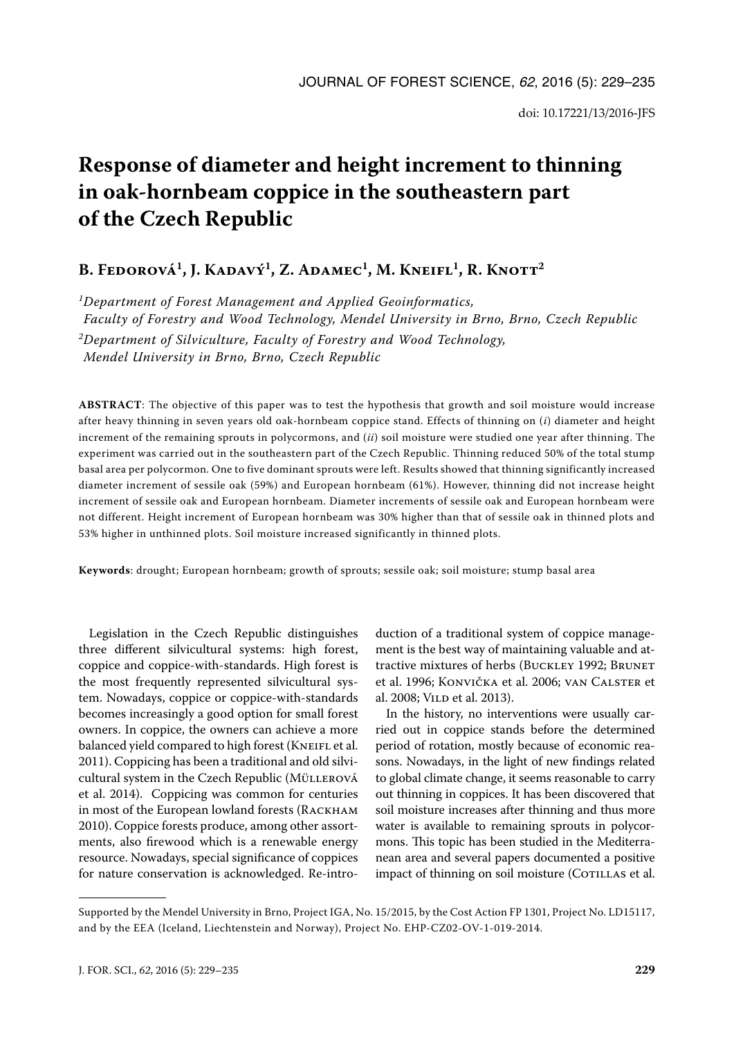# **Response of diameter and height increment to thinning in oak-hornbeam coppice in the southeastern part of the Czech Republic**

# B. Fedorová<sup>1</sup>, J. Kadavý<sup>1</sup>, Z. Adamec<sup>1</sup>, M. Kneifl<sup>1</sup>, R. Knott<sup>2</sup>

*1Department of Forest Management and Applied Geoinformatics, Faculty of Forestry and Wood Technology, Mendel University in Brno, Brno, Czech Republic 2Department of Silviculture, Faculty of Forestry and Wood Technology, Mendel University in Brno, Brno, Czech Republic*

**ABSTRACT**: The objective of this paper was to test the hypothesis that growth and soil moisture would increase after heavy thinning in seven years old oak-hornbeam coppice stand. Effects of thinning on (*i*) diameter and height increment of the remaining sprouts in polycormons, and (*ii*) soil moisture were studied one year after thinning. The experiment was carried out in the southeastern part of the Czech Republic. Thinning reduced 50% of the total stump basal area per polycormon. One to five dominant sprouts were left. Results showed that thinning significantly increased diameter increment of sessile oak (59%) and European hornbeam (61%). However, thinning did not increase height increment of sessile oak and European hornbeam. Diameter increments of sessile oak and European hornbeam were not different. Height increment of European hornbeam was 30% higher than that of sessile oak in thinned plots and 53% higher in unthinned plots. Soil moisture increased significantly in thinned plots.

**Keywords**: drought; European hornbeam; growth of sprouts; sessile oak; soil moisture; stump basal area

Legislation in the Czech Republic distinguishes three different silvicultural systems: high forest, coppice and coppice-with-standards. High forest is the most frequently represented silvicultural system. Nowadays, coppice or coppice-with-standards becomes increasingly a good option for small forest owners. In coppice, the owners can achieve a more balanced yield compared to high forest (KNEIFL et al. 2011). Coppicing has been a traditional and old silvicultural system in the Czech Republic (Müllerová et al. 2014). Coppicing was common for centuries in most of the European lowland forests (Rackham 2010). Coppice forests produce, among other assortments, also firewood which is a renewable energy resource. Nowadays, special significance of coppices for nature conservation is acknowledged. Re-intro-

duction of a traditional system of coppice management is the best way of maintaining valuable and attractive mixtures of herbs (Buckley 1992; Brunet et al. 1996; Konvička et al. 2006; van Calster et al. 2008; Vild et al. 2013).

In the history, no interventions were usually carried out in coppice stands before the determined period of rotation, mostly because of economic reasons. Nowadays, in the light of new findings related to global climate change, it seems reasonable to carry out thinning in coppices. It has been discovered that soil moisture increases after thinning and thus more water is available to remaining sprouts in polycormons. This topic has been studied in the Mediterranean area and several papers documented a positive impact of thinning on soil moisture (COTILLAS et al.

Supported by the Mendel University in Brno, Project IGA, No. 15/2015, by the Cost Action FP 1301, Project No. LD15117, and by the EEA (Iceland, Liechtenstein and Norway), Project No. EHP-CZ02-OV-1-019-2014.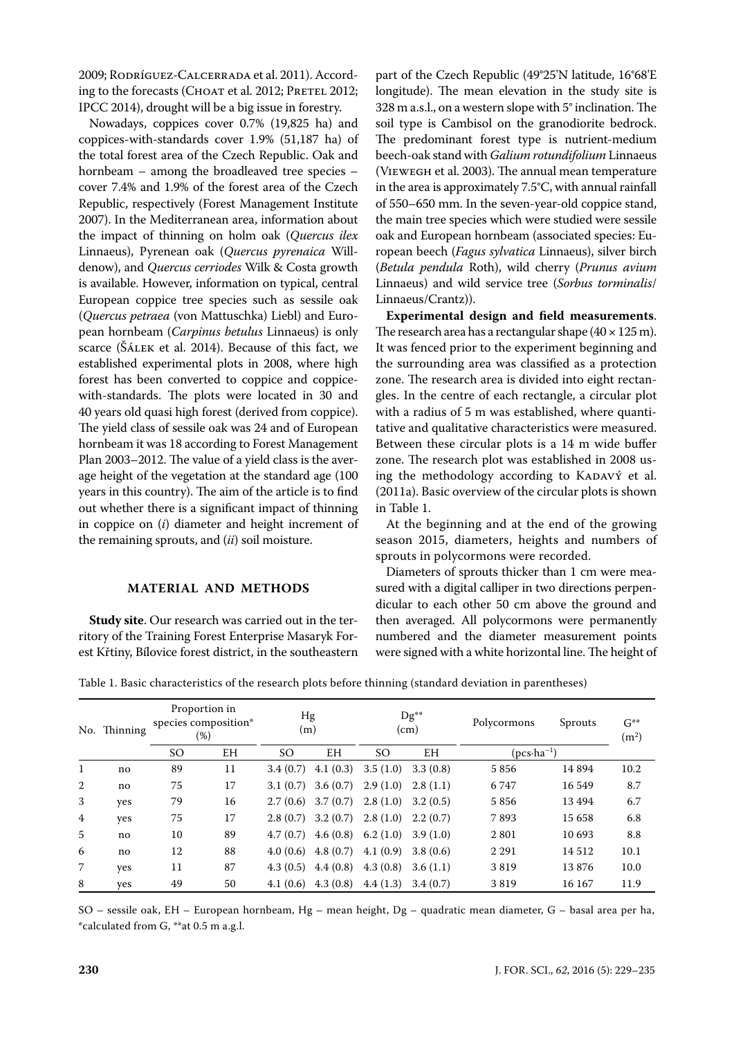2009; Rodríguez-Calcerrada et al. 2011). According to the forecasts (CHOAT et al. 2012; PRETEL 2012; IPCC 2014), drought will be a big issue in forestry.

Nowadays, coppices cover 0.7% (19,825 ha) and coppices-with-standards cover 1.9% (51,187 ha) of the total forest area of the Czech Republic. Oak and hornbeam – among the broadleaved tree species – cover 7.4% and 1.9% of the forest area of the Czech Republic, respectively (Forest Management Institute 2007). In the Mediterranean area, information about the impact of thinning on holm oak (*Quercus ilex* Linnaeus), Pyrenean oak (*Quercus pyrenaica* Willdenow), and *Quercus cerriodes* Wilk & Costa growth is available. However, information on typical, central European coppice tree species such as sessile oak (*Quercus petraea* (von Mattuschka) Liebl) and European hornbeam (*Carpinus betulus* Linnaeus) is only scarce (Šálek et al. 2014). Because of this fact, we established experimental plots in 2008, where high forest has been converted to coppice and coppicewith-standards. The plots were located in 30 and 40 years old quasi high forest (derived from coppice). The yield class of sessile oak was 24 and of European hornbeam it was 18 according to Forest Management Plan 2003–2012. The value of a yield class is the average height of the vegetation at the standard age (100 years in this country). The aim of the article is to find out whether there is a significant impact of thinning in coppice on (*i*) diameter and height increment of the remaining sprouts, and (*ii*) soil moisture.

## **MATERIAL AND METHODS**

**Study site**. Our research was carried out in the territory of the Training Forest Enterprise Masaryk Forest Křtiny, Bílovice forest district, in the southeastern

part of the Czech Republic (49°25'N latitude, 16°68'E longitude). The mean elevation in the study site is 328 m a.s.l., on a western slope with 5° inclination. The soil type is Cambisol on the granodiorite bedrock. The predominant forest type is nutrient-medium beech-oak stand with *Galium rotundifolium* Linnaeus (Viewegh et al. 2003). The annual mean temperature in the area is approximately 7.5°C, with annual rainfall of 550–650 mm. In the seven-year-old coppice stand, the main tree species which were studied were sessile oak and European hornbeam (associated species: European beech (*Fagus sylvatica* Linnaeus), silver birch (*Betula pendula* Roth), wild cherry (*Prunus avium* Linnaeus) and wild service tree (*Sorbus torminalis*/ Linnaeus/Crantz)).

**Experimental design and field measurements**. The research area has a rectangular shape  $(40 \times 125 \text{ m})$ . It was fenced prior to the experiment beginning and the surrounding area was classified as a protection zone. The research area is divided into eight rectangles. In the centre of each rectangle, a circular plot with a radius of 5 m was established, where quantitative and qualitative characteristics were measured. Between these circular plots is a 14 m wide buffer zone. The research plot was established in 2008 using the methodology according to KADAVÝ et al. (2011a). Basic overview of the circular plots is shown in Table 1.

At the beginning and at the end of the growing season 2015, diameters, heights and numbers of sprouts in polycormons were recorded.

Diameters of sprouts thicker than 1 cm were measured with a digital calliper in two directions perpendicular to each other 50 cm above the ground and then averaged. All polycormons were permanently numbered and the diameter measurement points were signed with a white horizontal line. The height of

Table 1. Basic characteristics of the research plots before thinning (standard deviation in parentheses)

|                | No. Thinning | Proportion in<br>species composition*<br>(%) |           | Hg<br>(m)     |          | Dg**<br>(cm) |          | Polycormons           | Sprouts | $G^{**}$<br>(m <sup>2</sup> ) |
|----------------|--------------|----------------------------------------------|-----------|---------------|----------|--------------|----------|-----------------------|---------|-------------------------------|
|                |              | SO                                           | <b>EH</b> | <sub>SO</sub> | EH       | SO           | EΗ       | $(pcs \cdot ha^{-1})$ |         |                               |
| 1              | no           | 89                                           | 11        | 3.4(0.7)      | 4.1(0.3) | 3.5(1.0)     | 3.3(0.8) | 5856                  | 14894   | 10.2                          |
| 2              | no           | 75                                           | 17        | 3.1(0.7)      | 3.6(0.7) | 2.9(1.0)     | 2.8(1.1) | 6747                  | 16 549  | 8.7                           |
| 3              | yes          | 79                                           | 16        | 2.7(0.6)      | 3.7(0.7) | 2.8(1.0)     | 3.2(0.5) | 5856                  | 13494   | 6.7                           |
| $\overline{4}$ | yes          | 75                                           | 17        | 2.8(0.7)      | 3.2(0.7) | 2.8(1.0)     | 2.2(0.7) | 7893                  | 15 658  | 6.8                           |
| $\overline{5}$ | no           | 10                                           | 89        | 4.7(0.7)      | 4.6(0.8) | 6.2(1.0)     | 3.9(1.0) | 2801                  | 10 693  | 8.8                           |
| 6              | no           | 12                                           | 88        | 4.0(0.6)      | 4.8(0.7) | 4.1(0.9)     | 3.8(0.6) | 2 2 9 1               | 14512   | 10.1                          |
| 7              | yes          | 11                                           | 87        | 4.3(0.5)      | 4.4(0.8) | 4.3(0.8)     | 3.6(1.1) | 3819                  | 13876   | 10.0                          |
| 8              | yes          | 49                                           | 50        | 4.1(0.6)      | 4.3(0.8) | 4.4(1.3)     | 3.4(0.7) | 3819                  | 16 167  | 11.9                          |

SO – sessile oak, EH – European hornbeam, Hg – mean height, Dg – quadratic mean diameter, G – basal area per ha, \*calculated from G, \*\*at 0.5 m a.g.l.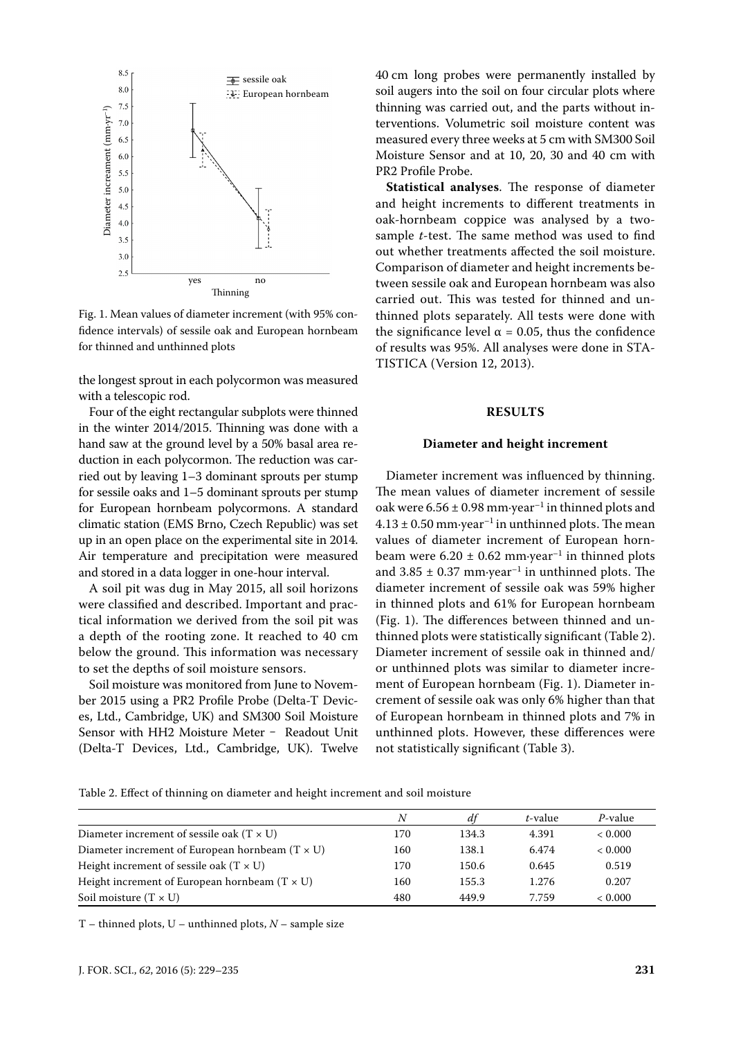

Fig. 1. Mean values of diameter increment (with 95% confidence intervals) of sessile oak and European hornbeam for thinned and unthinned plots

the longest sprout in each polycormon was measured with a telescopic rod.

Four of the eight rectangular subplots were thinned in the winter 2014/2015. Thinning was done with a hand saw at the ground level by a 50% basal area reduction in each polycormon. The reduction was carried out by leaving 1–3 dominant sprouts per stump for sessile oaks and 1–5 dominant sprouts per stump for European hornbeam polycormons. A standard climatic station (EMS Brno, Czech Republic) was set up in an open place on the experimental site in 2014. Air temperature and precipitation were measured and stored in a data logger in one-hour interval.

A soil pit was dug in May 2015, all soil horizons were classified and described. Important and practical information we derived from the soil pit was a depth of the rooting zone. It reached to 40 cm below the ground. This information was necessary to set the depths of soil moisture sensors.

Soil moisture was monitored from June to November 2015 using a PR2 Profile Probe (Delta-T Devices, Ltd., Cambridge, UK) and SM300 Soil Moisture Sensor with HH2 Moisture Meter - Readout Unit (Delta-T Devices, Ltd., Cambridge, UK). Twelve 40 cm long probes were permanently installed by soil augers into the soil on four circular plots where thinning was carried out, and the parts without interventions. Volumetric soil moisture content was measured every three weeks at 5 cm with SM300 Soil Moisture Sensor and at 10, 20, 30 and 40 cm with PR2 Profile Probe.

**Statistical analyses**. The response of diameter and height increments to different treatments in oak-hornbeam coppice was analysed by a twosample *t*-test. The same method was used to find out whether treatments affected the soil moisture. Comparison of diameter and height increments between sessile oak and European hornbeam was also carried out. This was tested for thinned and unthinned plots separately. All tests were done with the significance level  $\alpha = 0.05$ , thus the confidence of results was 95%. All analyses were done in STA-TISTICA (Version 12, 2013).

#### **RESULTS**

#### **Diameter and height increment**

Diameter increment was influenced by thinning. The mean values of diameter increment of sessile oak were  $6.56 \pm 0.98$  mm·year<sup>-1</sup> in thinned plots and  $4.13 \pm 0.50$  mm·year<sup>-1</sup> in unthinned plots. The mean values of diameter increment of European hornbeam were  $6.20 \pm 0.62$  mm·year<sup>-1</sup> in thinned plots and  $3.85 \pm 0.37$  mm·year<sup>-1</sup> in unthinned plots. The diameter increment of sessile oak was 59% higher in thinned plots and 61% for European hornbeam (Fig. 1). The differences between thinned and unthinned plots were statistically significant (Table 2). Diameter increment of sessile oak in thinned and/ or unthinned plots was similar to diameter increment of European hornbeam (Fig. 1). Diameter increment of sessile oak was only 6% higher than that of European hornbeam in thinned plots and 7% in unthinned plots. However, these differences were not statistically significant (Table 3).

Table 2. Effect of thinning on diameter and height increment and soil moisture

|                                                        | N   | df    | t-value | $P$ -value |
|--------------------------------------------------------|-----|-------|---------|------------|
| Diameter increment of sessile oak (T $\times$ U)       | 170 | 134.3 | 4.391   | < 0.000    |
| Diameter increment of European hornbeam $(T \times U)$ | 160 | 138.1 | 6.474   | < 0.000    |
| Height increment of sessile oak $(T \times U)$         | 170 | 150.6 | 0.645   | 0.519      |
| Height increment of European hornbeam (T $\times$ U)   | 160 | 155.3 | 1.276   | 0.207      |
| Soil moisture $(T \times U)$                           | 480 | 449.9 | 7.759   | < 0.000    |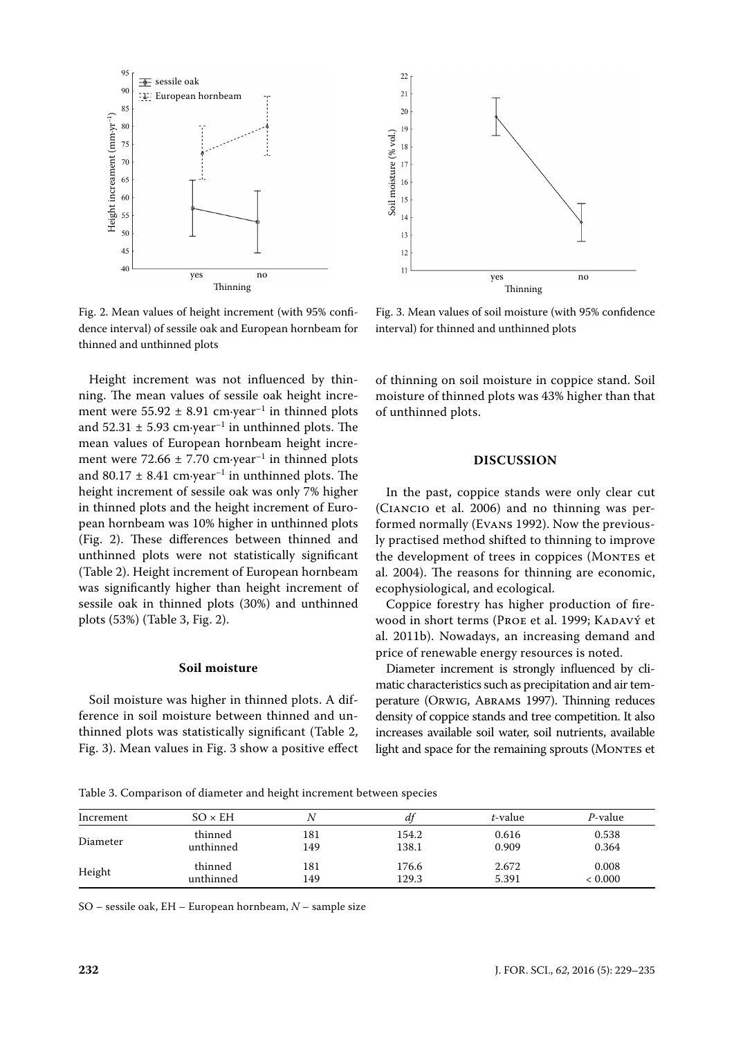

Fig. 2. Mean values of height increment (with 95% confidence interval) of sessile oak and European hornbeam for thinned and unthinned plots

Height increment was not influenced by thinning. The mean values of sessile oak height increment were  $55.92 \pm 8.91$  cm·year<sup>-1</sup> in thinned plots and  $52.31 \pm 5.93$  cm·year<sup>-1</sup> in unthinned plots. The mean values of European hornbeam height increment were 72.66  $\pm$  7.70 cm·year<sup>-1</sup> in thinned plots and 80.17  $\pm$  8.41 cm·year<sup>-1</sup> in unthinned plots. The height increment of sessile oak was only 7% higher in thinned plots and the height increment of European hornbeam was 10% higher in unthinned plots (Fig. 2). These differences between thinned and unthinned plots were not statistically significant (Table 2). Height increment of European hornbeam was significantly higher than height increment of sessile oak in thinned plots (30%) and unthinned plots (53%) (Table 3, Fig. 2).

## **Soil moisture**

Soil moisture was higher in thinned plots. A difference in soil moisture between thinned and unthinned plots was statistically significant (Table 2, Fig. 3). Mean values in Fig. 3 show a positive effect



Fig. 3. Mean values of soil moisture (with 95% confidence interval) for thinned and unthinned plots

of thinning on soil moisture in coppice stand. Soil moisture of thinned plots was 43% higher than that of unthinned plots.

#### **DISCUSSION**

In the past, coppice stands were only clear cut (Ciancio et al. 2006) and no thinning was performed normally (Evans 1992). Now the previously practised method shifted to thinning to improve the development of trees in coppices (MONTES et al. 2004). The reasons for thinning are economic, ecophysiological, and ecological.

Coppice forestry has higher production of firewood in short terms (Proe et al. 1999; KADAVÝ et al. 2011b). Nowadays, an increasing demand and price of renewable energy resources is noted.

Diameter increment is strongly influenced by climatic characteristics such as precipitation and air temperature (Orwig, Abrams 1997). Thinning reduces density of coppice stands and tree competition. It also increases available soil water, soil nutrients, available light and space for the remaining sprouts (MONTES et

Table 3. Comparison of diameter and height increment between species

| Increment | $SO \times EH$ | N   | a <sup>r</sup> | t-value | P-value |
|-----------|----------------|-----|----------------|---------|---------|
| Diameter  | thinned        | 181 | 154.2          | 0.616   | 0.538   |
|           | unthinned      | 149 | 138.1          | 0.909   | 0.364   |
| Height    | thinned        | 181 | 176.6          | 2.672   | 0.008   |
|           | unthinned      | 149 | 129.3          | 5.391   | < 0.000 |

SO – sessile oak, EH – European hornbeam, *N* – sample size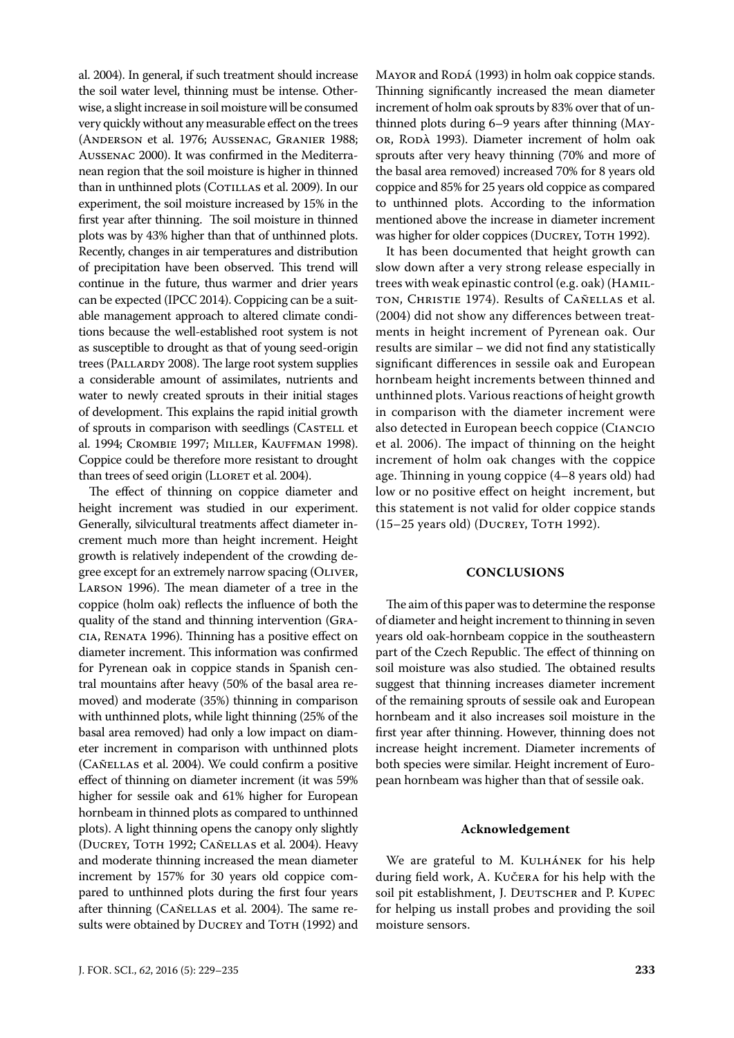al. 2004). In general, if such treatment should increase the soil water level, thinning must be intense. Otherwise, a slight increase in soil moisture will be consumed very quickly without any measurable effect on the trees (Anderson et al. 1976; Aussenac, Granier 1988; Aussenac 2000). It was confirmed in the Mediterranean region that the soil moisture is higher in thinned than in unthinned plots (COTILLAS et al. 2009). In our experiment, the soil moisture increased by 15% in the first year after thinning. The soil moisture in thinned plots was by 43% higher than that of unthinned plots. Recently, changes in air temperatures and distribution of precipitation have been observed. This trend will continue in the future, thus warmer and drier years can be expected (IPCC 2014). Coppicing can be a suitable management approach to altered climate conditions because the well-established root system is not as susceptible to drought as that of young seed-origin trees (PALLARDY 2008). The large root system supplies a considerable amount of assimilates, nutrients and water to newly created sprouts in their initial stages of development. This explains the rapid initial growth of sprouts in comparison with seedlings (CASTELL et al. 1994; Crombie 1997; Miller, Kauffman 1998). Coppice could be therefore more resistant to drought than trees of seed origin (LLORET et al. 2004).

The effect of thinning on coppice diameter and height increment was studied in our experiment. Generally, silvicultural treatments affect diameter increment much more than height increment. Height growth is relatively independent of the crowding degree except for an extremely narrow spacing (OLIVER, Larson 1996). The mean diameter of a tree in the coppice (holm oak) reflects the influence of both the quality of the stand and thinning intervention (Gracia, Renata 1996). Thinning has a positive effect on diameter increment. This information was confirmed for Pyrenean oak in coppice stands in Spanish central mountains after heavy (50% of the basal area removed) and moderate (35%) thinning in comparison with unthinned plots, while light thinning (25% of the basal area removed) had only a low impact on diameter increment in comparison with unthinned plots (Cañellas et al. 2004). We could confirm a positive effect of thinning on diameter increment (it was 59% higher for sessile oak and 61% higher for European hornbeam in thinned plots as compared to unthinned plots). A light thinning opens the canopy only slightly (Ducrey, Toth 1992; Cañellas et al. 2004). Heavy and moderate thinning increased the mean diameter increment by 157% for 30 years old coppice compared to unthinned plots during the first four years after thinning (CAÑELLAS et al. 2004). The same results were obtained by DUCREY and TOTH (1992) and MAYOR and RODÁ (1993) in holm oak coppice stands. Thinning significantly increased the mean diameter increment of holm oak sprouts by 83% over that of unthinned plots during 6–9 years after thinning (Mayor, Ropà 1993). Diameter increment of holm oak sprouts after very heavy thinning (70% and more of the basal area removed) increased 70% for 8 years old coppice and 85% for 25 years old coppice as compared to unthinned plots. According to the information mentioned above the increase in diameter increment was higher for older coppices (DUCREY, TOTH 1992).

It has been documented that height growth can slow down after a very strong release especially in trees with weak epinastic control (e.g. oak) (Hamilton, Christie 1974). Results of Cañellas et al. (2004) did not show any differences between treatments in height increment of Pyrenean oak. Our results are similar – we did not find any statistically significant differences in sessile oak and European hornbeam height increments between thinned and unthinned plots. Various reactions of height growth in comparison with the diameter increment were also detected in European beech coppice (Ciancio et al. 2006). The impact of thinning on the height increment of holm oak changes with the coppice age. Thinning in young coppice (4–8 years old) had low or no positive effect on height increment, but this statement is not valid for older coppice stands (15-25 years old) (DUCREY, ТОТН 1992).

# **CONCLUSIONS**

The aim of this paper was to determine the response of diameter and height increment to thinning in seven years old oak-hornbeam coppice in the southeastern part of the Czech Republic. The effect of thinning on soil moisture was also studied. The obtained results suggest that thinning increases diameter increment of the remaining sprouts of sessile oak and European hornbeam and it also increases soil moisture in the first year after thinning. However, thinning does not increase height increment. Diameter increments of both species were similar. Height increment of European hornbeam was higher than that of sessile oak.

#### **Acknowledgement**

We are grateful to M. KULHÁNEK for his help during field work, A. Kučera for his help with the soil pit establishment, J. DEUTSCHER and P. KUPEC for helping us install probes and providing the soil moisture sensors.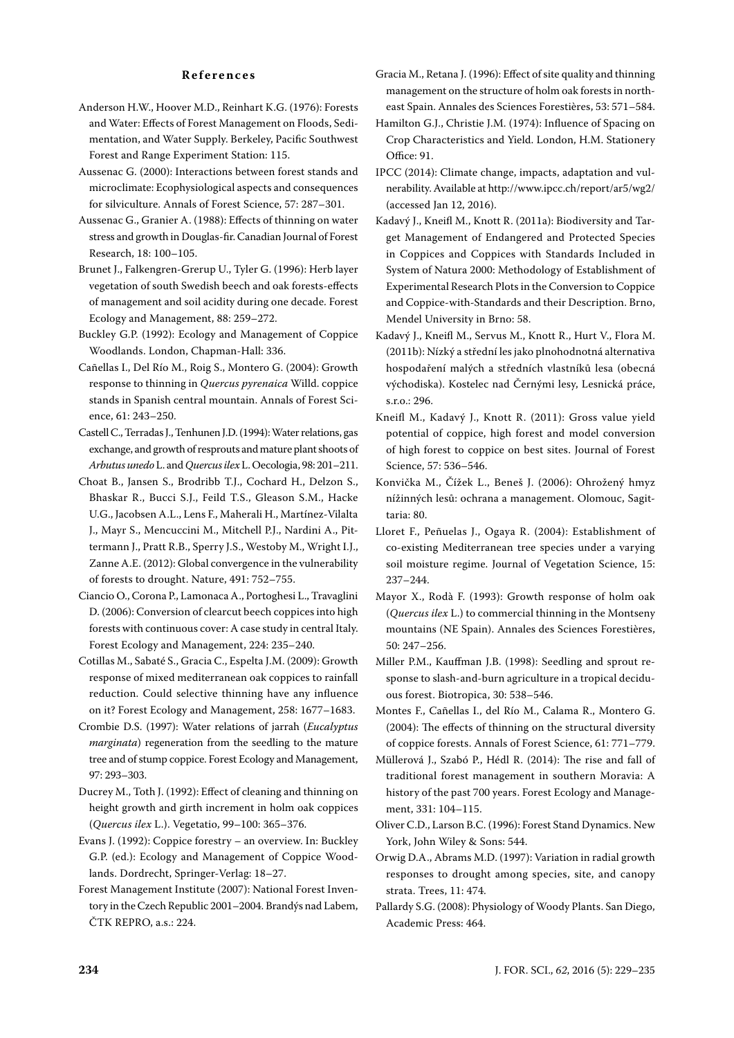#### **References**

- Anderson H.W., Hoover M.D., Reinhart K.G. (1976): Forests and Water: Effects of Forest Management on Floods, Sedimentation, and Water Supply. Berkeley, Pacific Southwest Forest and Range Experiment Station: 115.
- Aussenac G. (2000): Interactions between forest stands and microclimate: Ecophysiological aspects and consequences for silviculture. Annals of Forest Science, 57: 287–301.
- Aussenac G., Granier A. (1988): Effects of thinning on water stress and growth in Douglas-fir. Canadian Journal of Forest Research, 18: 100–105.
- Brunet J., Falkengren-Grerup U., Tyler G. (1996): Herb layer vegetation of south Swedish beech and oak forests-effects of management and soil acidity during one decade. Forest Ecology and Management, 88: 259–272.
- Buckley G.P. (1992): Ecology and Management of Coppice Woodlands. London, Chapman-Hall: 336.
- Cañellas I., Del Río M., Roig S., Montero G. (2004): Growth response to thinning in *Quercus pyrenaica* Willd. coppice stands in Spanish central mountain. Annals of Forest Science, 61: 243–250.
- Castell C., Terradas J., Tenhunen J.D. (1994): Water relations, gas exchange, and growth of resprouts and mature plant shoots of *Arbutus unedo* L. and *Quercus ilex* L. Oecologia, 98: 201–211.
- Choat B., Jansen S., Brodribb T.J., Cochard H., Delzon S., Bhaskar R., Bucci S.J., Feild T.S., Gleason S.M., Hacke U.G., Jacobsen A.L., Lens F., Maherali H., Martínez-Vilalta J., Mayr S., Mencuccini M., Mitchell P.J., Nardini A., Pittermann J., Pratt R.B., Sperry J.S., Westoby M., Wright I.J., Zanne A.E. (2012): Global convergence in the vulnerability of forests to drought. Nature, 491: 752–755.
- Ciancio O., Corona P., Lamonaca A., Portoghesi L., Travaglini D. (2006): Conversion of clearcut beech coppices into high forests with continuous cover: A case study in central Italy. Forest Ecology and Management, 224: 235–240.
- Cotillas M., Sabaté S., Gracia C., Espelta J.M. (2009): Growth response of mixed mediterranean oak coppices to rainfall reduction. Could selective thinning have any influence on it? Forest Ecology and Management, 258: 1677–1683.
- Crombie D.S. (1997): Water relations of jarrah (*Eucalyptus marginata*) regeneration from the seedling to the mature tree and of stump coppice. Forest Ecology and Management, 97: 293–303.
- Ducrey M., Toth J. (1992): Effect of cleaning and thinning on height growth and girth increment in holm oak coppices (*Quercus ilex* L.). Vegetatio, 99–100: 365–376.
- Evans J. (1992): Coppice forestry an overview. In: Buckley G.P. (ed.): Ecology and Management of Coppice Woodlands. Dordrecht, Springer-Verlag: 18–27.
- Forest Management Institute (2007): National Forest Inventory in the Czech Republic 2001–2004. Brandýs nad Labem, ČTK REPRO, a.s.: 224.

Gracia M., Retana J. (1996): Effect of site quality and thinning management on the structure of holm oak forests in northeast Spain. Annales des Sciences Forestières, 53: 571–584.

- Hamilton G.J., Christie J.M. (1974): Influence of Spacing on Crop Characteristics and Yield. London, H.M. Stationery Office: 91.
- IPCC (2014): Climate change, impacts, adaptation and vulnerability. Available at http://www.ipcc.ch/report/ar5/wg2/ (accessed Jan 12, 2016).
- Kadavý J., Kneifl M., Knott R. (2011a): Biodiversity and Target Management of Endangered and Protected Species in Coppices and Coppices with Standards Included in System of Natura 2000: Methodology of Establishment of Experimental Research Plots in the Conversion to Coppice and Coppice-with-Standards and their Description. Brno, Mendel University in Brno: 58.
- Kadavý J., Kneifl M., Servus M., Knott R., Hurt V., Flora M. (2011b): Nízký a střední les jako plnohodnotná alternativa hospodaření malých a středních vlastníků lesa (obecná východiska). Kostelec nad Černými lesy, Lesnická práce, s.r.o.: 296.
- Kneifl M., Kadavý J., Knott R. (2011): Gross value yield potential of coppice, high forest and model conversion of high forest to coppice on best sites. Journal of Forest Science, 57: 536–546.
- Konvička M., Čížek L., Beneš J. (2006): Ohrožený hmyz nížinných lesů: ochrana a management. Olomouc, Sagittaria: 80.
- Lloret F., Peñuelas J., Ogaya R. (2004): Establishment of co-existing Mediterranean tree species under a varying soil moisture regime. Journal of Vegetation Science, 15: 237–244.
- Mayor X., Rodà F. (1993): Growth response of holm oak (*Quercus ilex* L.) to commercial thinning in the Montseny mountains (NE Spain). Annales des Sciences Forestières, 50: 247–256.
- Miller P.M., Kauffman J.B. (1998): Seedling and sprout response to slash-and-burn agriculture in a tropical deciduous forest. Biotropica, 30: 538–546.
- Montes F., Cañellas I., del Río M., Calama R., Montero G. (2004): The effects of thinning on the structural diversity of coppice forests. Annals of Forest Science, 61: 771–779.
- Müllerová J., Szabó P., Hédl R. (2014): The rise and fall of traditional forest management in southern Moravia: A history of the past 700 years. Forest Ecology and Management, 331: 104–115.
- Oliver C.D., Larson B.C. (1996): Forest Stand Dynamics. New York, John Wiley & Sons: 544.
- Orwig D.A., Abrams M.D. (1997): Variation in radial growth responses to drought among species, site, and canopy strata. Trees, 11: 474.
- Pallardy S.G. (2008): Physiology of Woody Plants. San Diego, Academic Press: 464.